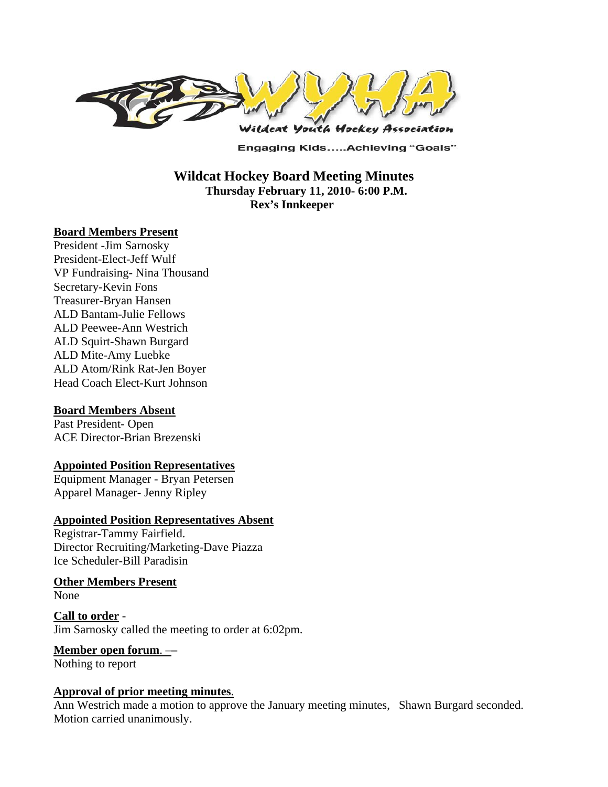

**Engaging Kids.....Achieving "Goals"** 

 **Wildcat Hockey Board Meeting Minutes Thursday February 11, 2010- 6:00 P.M. Rex's Innkeeper** 

### **Board Members Present**

President -Jim Sarnosky President-Elect-Jeff Wulf VP Fundraising- Nina Thousand Secretary-Kevin Fons Treasurer-Bryan Hansen ALD Bantam-Julie Fellows ALD Peewee-Ann Westrich ALD Squirt-Shawn Burgard ALD Mite-Amy Luebke ALD Atom/Rink Rat-Jen Boyer Head Coach Elect-Kurt Johnson

### **Board Members Absent**

Past President- Open ACE Director-Brian Brezenski

### **Appointed Position Representatives**

Equipment Manager - Bryan Petersen Apparel Manager- Jenny Ripley

#### **Appointed Position Representatives Absent**

Registrar-Tammy Fairfield. Director Recruiting/Marketing-Dave Piazza Ice Scheduler-Bill Paradisin

**Other Members Present** None

**Call to order** - Jim Sarnosky called the meeting to order at 6:02pm.

# **Member open forum**. –**–**

Nothing to report

### **Approval of prior meeting minutes**.

Ann Westrich made a motion to approve the January meeting minutes, Shawn Burgard seconded. Motion carried unanimously.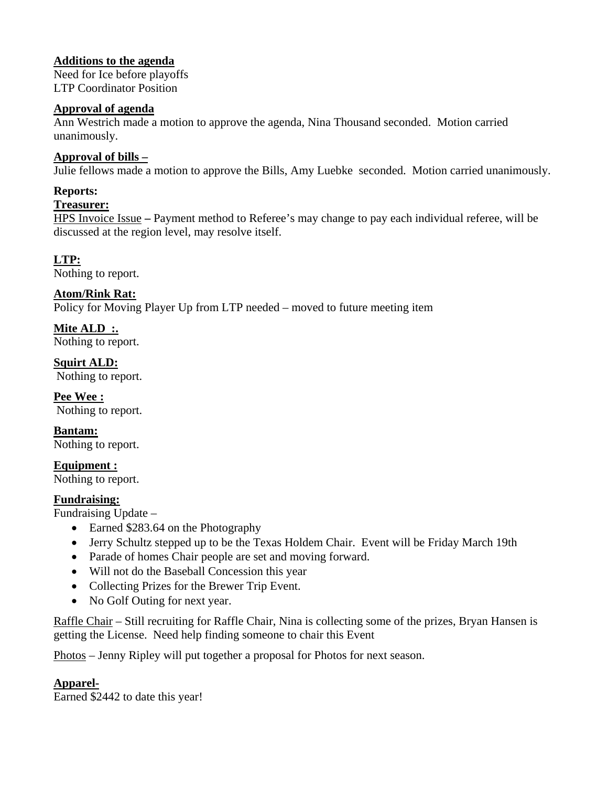# **Additions to the agenda**

Need for Ice before playoffs LTP Coordinator Position

## **Approval of agenda**

Ann Westrich made a motion to approve the agenda, Nina Thousand seconded. Motion carried unanimously.

# **Approval of bills –**

Julie fellows made a motion to approve the Bills, Amy Luebke seconded. Motion carried unanimously.

# **Reports:**

### **Treasurer:**

HPS Invoice Issue **–** Payment method to Referee's may change to pay each individual referee, will be discussed at the region level, may resolve itself.

**LTP:** 

Nothing to report.

# **Atom/Rink Rat:**

Policy for Moving Player Up from LTP needed – moved to future meeting item

**Mite ALD :.**  Nothing to report.

**Squirt ALD:**  Nothing to report.

**Pee Wee :**  Nothing to report.

**Bantam:**  Nothing to report.

**Equipment :**  Nothing to report.

## **Fundraising:**

Fundraising Update –

- Earned \$283.64 on the Photography
- Jerry Schultz stepped up to be the Texas Holdem Chair. Event will be Friday March 19th
- Parade of homes Chair people are set and moving forward.
- Will not do the Baseball Concession this year
- Collecting Prizes for the Brewer Trip Event.
- No Golf Outing for next year.

Raffle Chair – Still recruiting for Raffle Chair, Nina is collecting some of the prizes, Bryan Hansen is getting the License. Need help finding someone to chair this Event

Photos – Jenny Ripley will put together a proposal for Photos for next season.

# **Apparel-**

Earned \$2442 to date this year!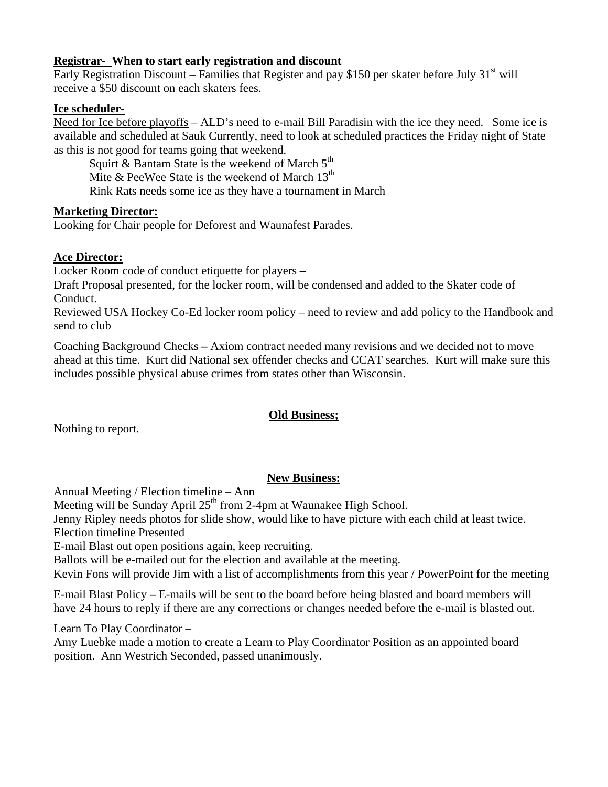## **Registrar- When to start early registration and discount**

Early Registration Discount – Families that Register and pay \$150 per skater before July  $31<sup>st</sup>$  will receive a \$50 discount on each skaters fees.

### **Ice scheduler-**

Need for Ice before playoffs – ALD's need to e-mail Bill Paradisin with the ice they need. Some ice is available and scheduled at Sauk Currently, need to look at scheduled practices the Friday night of State as this is not good for teams going that weekend.

Squirt & Bantam State is the weekend of March  $5<sup>th</sup>$ Mite & PeeWee State is the weekend of March  $13<sup>th</sup>$ Rink Rats needs some ice as they have a tournament in March

### **Marketing Director:**

Looking for Chair people for Deforest and Waunafest Parades.

## **Ace Director:**

Locker Room code of conduct etiquette for players **–** 

Draft Proposal presented, for the locker room, will be condensed and added to the Skater code of Conduct.

Reviewed USA Hockey Co-Ed locker room policy – need to review and add policy to the Handbook and send to club

Coaching Background Checks **–** Axiom contract needed many revisions and we decided not to move ahead at this time. Kurt did National sex offender checks and CCAT searches. Kurt will make sure this includes possible physical abuse crimes from states other than Wisconsin.

## **Old Business;**

Nothing to report.

# **New Business:**

Annual Meeting / Election timeline – Ann

Meeting will be Sunday April  $25<sup>th</sup>$  from 2-4pm at Waunakee High School.

Jenny Ripley needs photos for slide show, would like to have picture with each child at least twice. Election timeline Presented

E-mail Blast out open positions again, keep recruiting.

Ballots will be e-mailed out for the election and available at the meeting.

Kevin Fons will provide Jim with a list of accomplishments from this year / PowerPoint for the meeting

E-mail Blast Policy **–** E-mails will be sent to the board before being blasted and board members will have 24 hours to reply if there are any corrections or changes needed before the e-mail is blasted out.

Learn To Play Coordinator –

Amy Luebke made a motion to create a Learn to Play Coordinator Position as an appointed board position. Ann Westrich Seconded, passed unanimously.